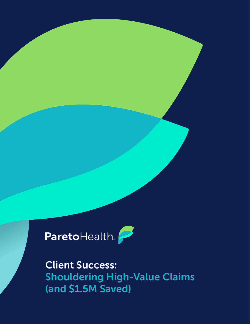

Client Success: Shouldering High-Value Claims (and \$1.5M Saved)